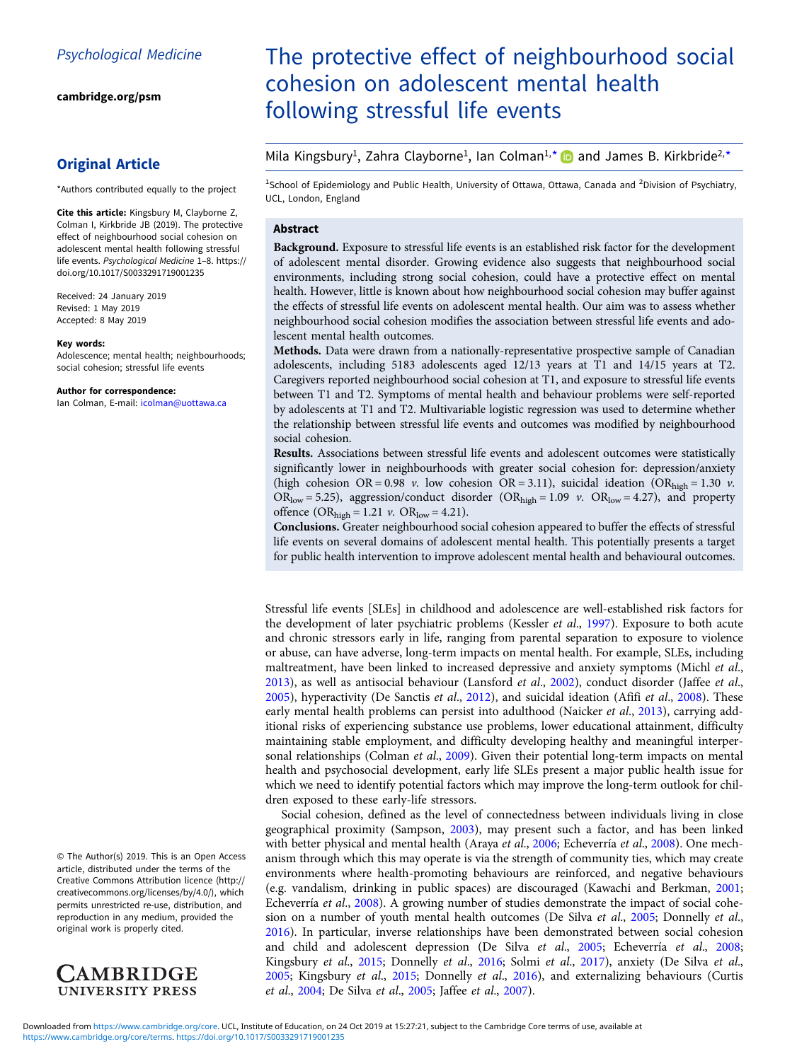[cambridge.org/psm](https://www.cambridge.org/psm)

# Original Article

\*Authors contributed equally to the project

Cite this article: Kingsbury M, Clayborne Z, Colman I, Kirkbride JB (2019). The protective effect of neighbourhood social cohesion on adolescent mental health following stressful life events. Psychological Medicine 1–8. [https://](https://doi.org/10.1017/S0033291719001235) [doi.org/10.1017/S0033291719001235](https://doi.org/10.1017/S0033291719001235)

Received: 24 January 2019 Revised: 1 May 2019 Accepted: 8 May 2019

#### Key words:

Adolescence; mental health; neighbourhoods; social cohesion; stressful life events

#### Author for correspondence:

Ian Colman, E-mail: [icolman@uottawa.ca](mailto:icolman@uottawa.ca)

© The Author(s) 2019. This is an Open Access article, distributed under the terms of the Creative Commons Attribution licence (http:// creativecommons.org/licenses/by/4.0/), which permits unrestricted re-use, distribution, and reproduction in any medium, provided the original work is properly cited.



# The protective effect of neighbourhood social cohesion on adolescent mental health following stressful life events

## Mila Kingsbury<sup>1</sup>, Zahra Clayborne<sup>1</sup>, Ian Colman<sup>1,\*</sup> and James B. Kirkbride<sup>2,\*</sup>

<sup>1</sup>School of Epidemiology and Public Health, University of Ottawa, Ottawa, Canada and <sup>2</sup>Division of Psychiatry, UCL, London, England

## Abstract

Background. Exposure to stressful life events is an established risk factor for the development of adolescent mental disorder. Growing evidence also suggests that neighbourhood social environments, including strong social cohesion, could have a protective effect on mental health. However, little is known about how neighbourhood social cohesion may buffer against the effects of stressful life events on adolescent mental health. Our aim was to assess whether neighbourhood social cohesion modifies the association between stressful life events and adolescent mental health outcomes.

Methods. Data were drawn from a nationally-representative prospective sample of Canadian adolescents, including 5183 adolescents aged 12/13 years at T1 and 14/15 years at T2. Caregivers reported neighbourhood social cohesion at T1, and exposure to stressful life events between T1 and T2. Symptoms of mental health and behaviour problems were self-reported by adolescents at T1 and T2. Multivariable logistic regression was used to determine whether the relationship between stressful life events and outcomes was modified by neighbourhood social cohesion.

Results. Associations between stressful life events and adolescent outcomes were statistically significantly lower in neighbourhoods with greater social cohesion for: depression/anxiety (high cohesion OR = 0.98  $\nu$ . low cohesion OR = 3.11), suicidal ideation (OR<sub>high</sub> = 1.30  $\nu$ . OR<sub>low</sub> = 5.25), aggression/conduct disorder (OR<sub>high</sub> = 1.09 v. OR<sub>low</sub> = 4.27), and property offence  $(OR_{high} = 1.21 \, \nu. \, OR_{low} = 4.21).$ 

Conclusions. Greater neighbourhood social cohesion appeared to buffer the effects of stressful life events on several domains of adolescent mental health. This potentially presents a target for public health intervention to improve adolescent mental health and behavioural outcomes.

Stressful life events [SLEs] in childhood and adolescence are well-established risk factors for the development of later psychiatric problems (Kessler et al., [1997](#page-6-0)). Exposure to both acute and chronic stressors early in life, ranging from parental separation to exposure to violence or abuse, can have adverse, long-term impacts on mental health. For example, SLEs, including maltreatment, have been linked to increased depressive and anxiety symptoms (Michl et al., [2013\)](#page-7-0), as well as antisocial behaviour (Lansford et al., [2002\)](#page-7-0), conduct disorder (Jaffee et al., [2005\)](#page-6-0), hyperactivity (De Sanctis et al., [2012\)](#page-6-0), and suicidal ideation (Afifi et al., [2008\)](#page-6-0). These early mental health problems can persist into adulthood (Naicker et al., [2013](#page-7-0)), carrying additional risks of experiencing substance use problems, lower educational attainment, difficulty maintaining stable employment, and difficulty developing healthy and meaningful interper-sonal relationships (Colman et al., [2009](#page-6-0)). Given their potential long-term impacts on mental health and psychosocial development, early life SLEs present a major public health issue for which we need to identify potential factors which may improve the long-term outlook for children exposed to these early-life stressors.

Social cohesion, defined as the level of connectedness between individuals living in close geographical proximity (Sampson, [2003\)](#page-7-0), may present such a factor, and has been linked with better physical and mental health (Araya et al., [2006](#page-6-0); Echeverría et al., [2008\)](#page-6-0). One mechanism through which this may operate is via the strength of community ties, which may create environments where health-promoting behaviours are reinforced, and negative behaviours (e.g. vandalism, drinking in public spaces) are discouraged (Kawachi and Berkman, [2001](#page-6-0); Echeverría et al., [2008](#page-6-0)). A growing number of studies demonstrate the impact of social cohe-sion on a number of youth mental health outcomes (De Silva et al., [2005;](#page-6-0) Donnelly et al., [2016\)](#page-6-0). In particular, inverse relationships have been demonstrated between social cohesion and child and adolescent depression (De Silva et al., [2005](#page-6-0); Echeverría et al., [2008](#page-6-0); Kingsbury et al., [2015](#page-6-0); Donnelly et al., [2016;](#page-6-0) Solmi et al., [2017](#page-7-0)), anxiety (De Silva et al., [2005;](#page-6-0) Kingsbury et al., [2015](#page-6-0); Donnelly et al., [2016\)](#page-6-0), and externalizing behaviours (Curtis et al., [2004;](#page-6-0) De Silva et al., [2005](#page-6-0); Jaffee et al., [2007\)](#page-6-0).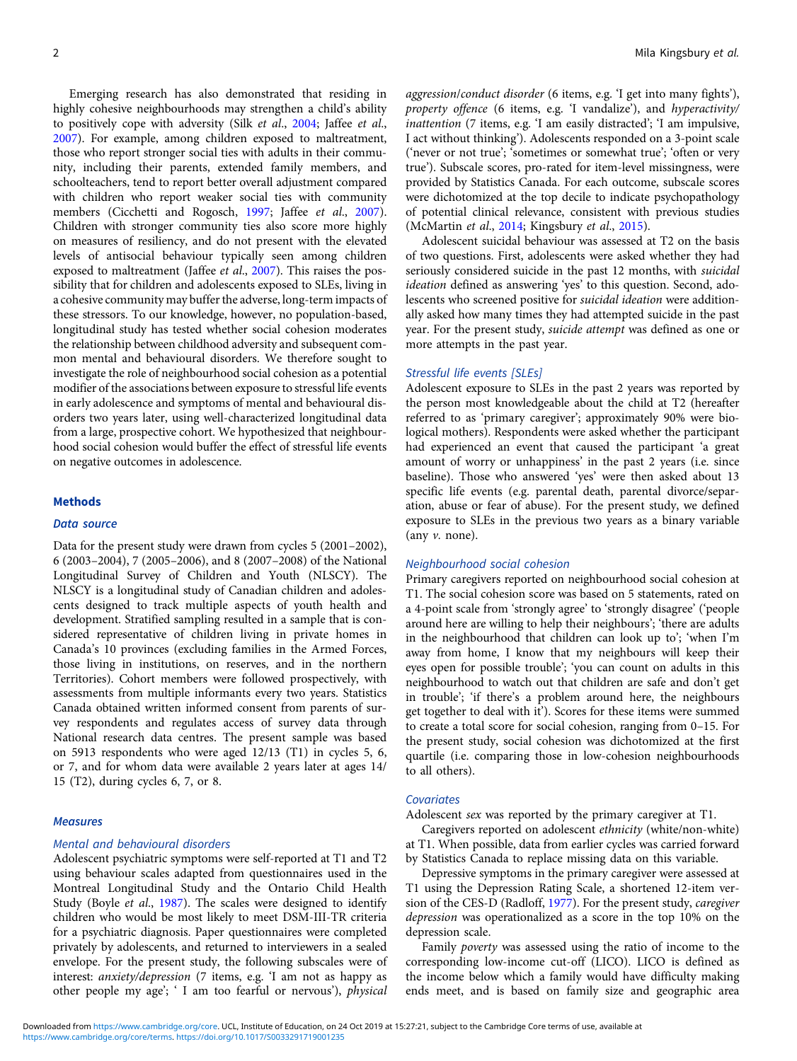Emerging research has also demonstrated that residing in highly cohesive neighbourhoods may strengthen a child's ability to positively cope with adversity (Silk et al., [2004;](#page-7-0) Jaffee et al., [2007\)](#page-6-0). For example, among children exposed to maltreatment, those who report stronger social ties with adults in their community, including their parents, extended family members, and schoolteachers, tend to report better overall adjustment compared with children who report weaker social ties with community members (Cicchetti and Rogosch, [1997;](#page-6-0) Jaffee et al., [2007\)](#page-6-0). Children with stronger community ties also score more highly on measures of resiliency, and do not present with the elevated levels of antisocial behaviour typically seen among children exposed to maltreatment (Jaffee et al., [2007](#page-6-0)). This raises the possibility that for children and adolescents exposed to SLEs, living in a cohesive community may buffer the adverse, long-term impacts of these stressors. To our knowledge, however, no population-based, longitudinal study has tested whether social cohesion moderates the relationship between childhood adversity and subsequent common mental and behavioural disorders. We therefore sought to investigate the role of neighbourhood social cohesion as a potential modifier of the associations between exposure to stressful life events in early adolescence and symptoms of mental and behavioural disorders two years later, using well-characterized longitudinal data from a large, prospective cohort. We hypothesized that neighbourhood social cohesion would buffer the effect of stressful life events on negative outcomes in adolescence.

## Methods

## Data source

Data for the present study were drawn from cycles 5 (2001–2002), 6 (2003–2004), 7 (2005–2006), and 8 (2007–2008) of the National Longitudinal Survey of Children and Youth (NLSCY). The NLSCY is a longitudinal study of Canadian children and adolescents designed to track multiple aspects of youth health and development. Stratified sampling resulted in a sample that is considered representative of children living in private homes in Canada's 10 provinces (excluding families in the Armed Forces, those living in institutions, on reserves, and in the northern Territories). Cohort members were followed prospectively, with assessments from multiple informants every two years. Statistics Canada obtained written informed consent from parents of survey respondents and regulates access of survey data through National research data centres. The present sample was based on 5913 respondents who were aged 12/13 (T1) in cycles 5, 6, or 7, and for whom data were available 2 years later at ages 14/ 15 (T2), during cycles 6, 7, or 8.

## **Measures**

#### Mental and behavioural disorders

Adolescent psychiatric symptoms were self-reported at T1 and T2 using behaviour scales adapted from questionnaires used in the Montreal Longitudinal Study and the Ontario Child Health Study (Boyle et al., [1987\)](#page-6-0). The scales were designed to identify children who would be most likely to meet DSM-III-TR criteria for a psychiatric diagnosis. Paper questionnaires were completed privately by adolescents, and returned to interviewers in a sealed envelope. For the present study, the following subscales were of interest: anxiety/depression (7 items, e.g. 'I am not as happy as other people my age'; ' I am too fearful or nervous'), physical

aggression/conduct disorder (6 items, e.g. 'I get into many fights'), property offence (6 items, e.g. 'I vandalize'), and hyperactivity/ inattention (7 items, e.g. 'I am easily distracted'; 'I am impulsive, I act without thinking'). Adolescents responded on a 3-point scale ('never or not true'; 'sometimes or somewhat true'; 'often or very true'). Subscale scores, pro-rated for item-level missingness, were provided by Statistics Canada. For each outcome, subscale scores were dichotomized at the top decile to indicate psychopathology of potential clinical relevance, consistent with previous studies (McMartin et al., [2014](#page-7-0); Kingsbury et al., [2015\)](#page-6-0).

Adolescent suicidal behaviour was assessed at T2 on the basis of two questions. First, adolescents were asked whether they had seriously considered suicide in the past 12 months, with suicidal ideation defined as answering 'yes' to this question. Second, adolescents who screened positive for suicidal ideation were additionally asked how many times they had attempted suicide in the past year. For the present study, suicide attempt was defined as one or more attempts in the past year.

#### Stressful life events [SLEs]

Adolescent exposure to SLEs in the past 2 years was reported by the person most knowledgeable about the child at T2 (hereafter referred to as 'primary caregiver'; approximately 90% were biological mothers). Respondents were asked whether the participant had experienced an event that caused the participant 'a great amount of worry or unhappiness' in the past 2 years (i.e. since baseline). Those who answered 'yes' were then asked about 13 specific life events (e.g. parental death, parental divorce/separation, abuse or fear of abuse). For the present study, we defined exposure to SLEs in the previous two years as a binary variable (any v. none).

## Neighbourhood social cohesion

Primary caregivers reported on neighbourhood social cohesion at T1. The social cohesion score was based on 5 statements, rated on a 4-point scale from 'strongly agree' to 'strongly disagree' ('people around here are willing to help their neighbours'; 'there are adults in the neighbourhood that children can look up to'; 'when I'm away from home, I know that my neighbours will keep their eyes open for possible trouble'; 'you can count on adults in this neighbourhood to watch out that children are safe and don't get in trouble'; 'if there's a problem around here, the neighbours get together to deal with it'). Scores for these items were summed to create a total score for social cohesion, ranging from 0–15. For the present study, social cohesion was dichotomized at the first quartile (i.e. comparing those in low-cohesion neighbourhoods to all others).

## **Covariates**

Adolescent sex was reported by the primary caregiver at T1.

Caregivers reported on adolescent ethnicity (white/non-white) at T1. When possible, data from earlier cycles was carried forward by Statistics Canada to replace missing data on this variable.

Depressive symptoms in the primary caregiver were assessed at T1 using the Depression Rating Scale, a shortened 12-item version of the CES-D (Radloff, [1977\)](#page-7-0). For the present study, caregiver depression was operationalized as a score in the top 10% on the depression scale.

Family poverty was assessed using the ratio of income to the corresponding low-income cut-off (LICO). LICO is defined as the income below which a family would have difficulty making ends meet, and is based on family size and geographic area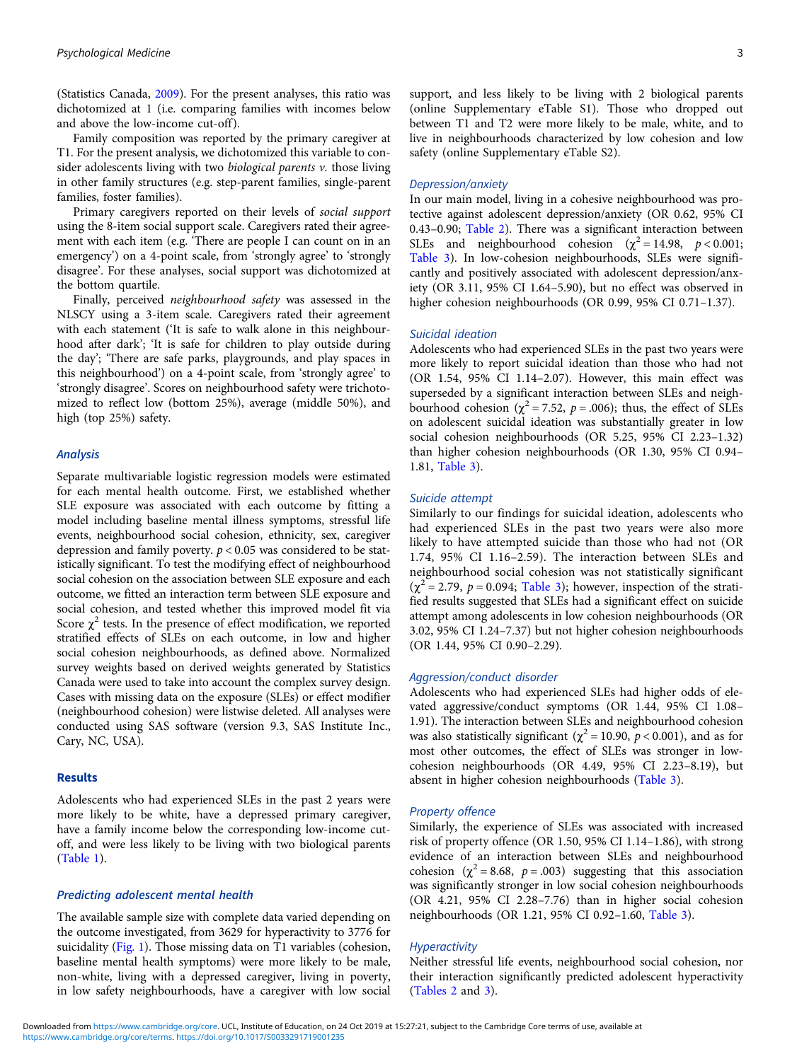(Statistics Canada, [2009](#page-7-0)). For the present analyses, this ratio was dichotomized at 1 (i.e. comparing families with incomes below and above the low-income cut-off).

Family composition was reported by the primary caregiver at T1. For the present analysis, we dichotomized this variable to consider adolescents living with two *biological parents v*. those living in other family structures (e.g. step-parent families, single-parent families, foster families).

Primary caregivers reported on their levels of social support using the 8-item social support scale. Caregivers rated their agreement with each item (e.g. 'There are people I can count on in an emergency') on a 4-point scale, from 'strongly agree' to 'strongly disagree'. For these analyses, social support was dichotomized at the bottom quartile.

Finally, perceived neighbourhood safety was assessed in the NLSCY using a 3-item scale. Caregivers rated their agreement with each statement ('It is safe to walk alone in this neighbourhood after dark'; 'It is safe for children to play outside during the day'; 'There are safe parks, playgrounds, and play spaces in this neighbourhood') on a 4-point scale, from 'strongly agree' to 'strongly disagree'. Scores on neighbourhood safety were trichotomized to reflect low (bottom 25%), average (middle 50%), and high (top 25%) safety.

#### Analysis

Separate multivariable logistic regression models were estimated for each mental health outcome. First, we established whether SLE exposure was associated with each outcome by fitting a model including baseline mental illness symptoms, stressful life events, neighbourhood social cohesion, ethnicity, sex, caregiver depression and family poverty.  $p < 0.05$  was considered to be statistically significant. To test the modifying effect of neighbourhood social cohesion on the association between SLE exposure and each outcome, we fitted an interaction term between SLE exposure and social cohesion, and tested whether this improved model fit via Score  $\chi^2$  tests. In the presence of effect modification, we reported stratified effects of SLEs on each outcome, in low and higher social cohesion neighbourhoods, as defined above. Normalized survey weights based on derived weights generated by Statistics Canada were used to take into account the complex survey design. Cases with missing data on the exposure (SLEs) or effect modifier (neighbourhood cohesion) were listwise deleted. All analyses were conducted using SAS software (version 9.3, SAS Institute Inc., Cary, NC, USA).

## Results

Adolescents who had experienced SLEs in the past 2 years were more likely to be white, have a depressed primary caregiver, have a family income below the corresponding low-income cutoff, and were less likely to be living with two biological parents ([Table 1](#page-3-0)).

## Predicting adolescent mental health

The available sample size with complete data varied depending on the outcome investigated, from 3629 for hyperactivity to 3776 for suicidality ([Fig. 1\)](#page-3-0). Those missing data on T1 variables (cohesion, baseline mental health symptoms) were more likely to be male, non-white, living with a depressed caregiver, living in poverty, in low safety neighbourhoods, have a caregiver with low social support, and less likely to be living with 2 biological parents (online Supplementary eTable S1). Those who dropped out between T1 and T2 were more likely to be male, white, and to live in neighbourhoods characterized by low cohesion and low safety (online Supplementary eTable S2).

#### Depression/anxiety

In our main model, living in a cohesive neighbourhood was protective against adolescent depression/anxiety (OR 0.62, 95% CI 0.43–0.90; [Table 2](#page-4-0)). There was a significant interaction between SLEs and neighbourhood cohesion ( $\chi^2 = 14.98$ ,  $p < 0.001$ ; [Table 3](#page-5-0)). In low-cohesion neighbourhoods, SLEs were significantly and positively associated with adolescent depression/anxiety (OR 3.11, 95% CI 1.64–5.90), but no effect was observed in higher cohesion neighbourhoods (OR 0.99, 95% CI 0.71–1.37).

#### Suicidal ideation

Adolescents who had experienced SLEs in the past two years were more likely to report suicidal ideation than those who had not (OR 1.54, 95% CI 1.14–2.07). However, this main effect was superseded by a significant interaction between SLEs and neighbourhood cohesion ( $\chi^2$  = 7.52, p = .006); thus, the effect of SLEs on adolescent suicidal ideation was substantially greater in low social cohesion neighbourhoods (OR 5.25, 95% CI 2.23–1.32) than higher cohesion neighbourhoods (OR 1.30, 95% CI 0.94– 1.81, [Table 3\)](#page-5-0).

#### Suicide attempt

Similarly to our findings for suicidal ideation, adolescents who had experienced SLEs in the past two years were also more likely to have attempted suicide than those who had not (OR 1.74, 95% CI 1.16–2.59). The interaction between SLEs and neighbourhood social cohesion was not statistically significant  $(\chi^2 = 2.79, p = 0.094;$  [Table 3\)](#page-5-0); however, inspection of the stratified results suggested that SLEs had a significant effect on suicide attempt among adolescents in low cohesion neighbourhoods (OR 3.02, 95% CI 1.24–7.37) but not higher cohesion neighbourhoods (OR 1.44, 95% CI 0.90–2.29).

#### Aggression/conduct disorder

Adolescents who had experienced SLEs had higher odds of elevated aggressive/conduct symptoms (OR 1.44, 95% CI 1.08– 1.91). The interaction between SLEs and neighbourhood cohesion was also statistically significant ( $\chi^2$  = 10.90,  $p$  < 0.001), and as for most other outcomes, the effect of SLEs was stronger in lowcohesion neighbourhoods (OR 4.49, 95% CI 2.23–8.19), but absent in higher cohesion neighbourhoods ([Table 3\)](#page-5-0).

#### Property offence

Similarly, the experience of SLEs was associated with increased risk of property offence (OR 1.50, 95% CI 1.14–1.86), with strong evidence of an interaction between SLEs and neighbourhood cohesion ( $\chi^2$  = 8.68, p = .003) suggesting that this association was significantly stronger in low social cohesion neighbourhoods (OR 4.21, 95% CI 2.28–7.76) than in higher social cohesion neighbourhoods (OR 1.21, 95% CI 0.92–1.60, [Table 3\)](#page-5-0).

## Hyperactivity

Neither stressful life events, neighbourhood social cohesion, nor their interaction significantly predicted adolescent hyperactivity [\(Tables 2](#page-4-0) and [3\)](#page-5-0).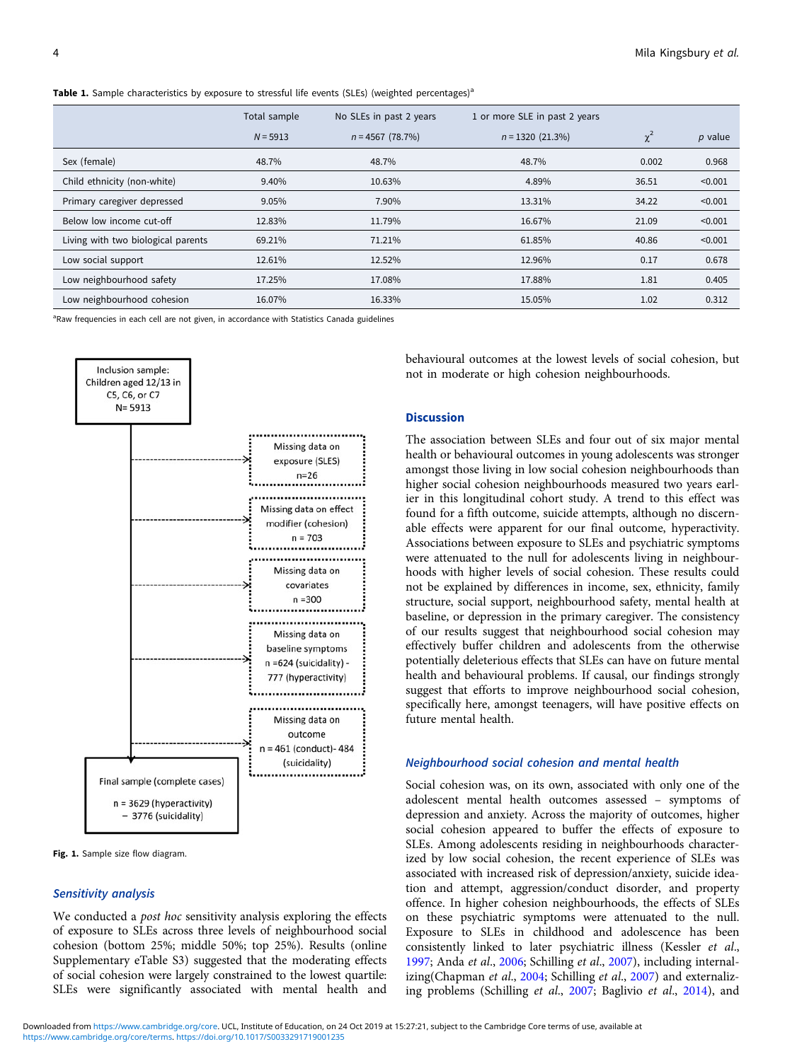<span id="page-3-0"></span>Table 1. Sample characteristics by exposure to stressful life events (SLEs) (weighted percentages)<sup>a</sup>

|                                    | Total sample | No SLEs in past 2 years | 1 or more SLE in past 2 years |          |           |
|------------------------------------|--------------|-------------------------|-------------------------------|----------|-----------|
|                                    | $N = 5913$   | $n = 4567$ (78.7%)      | $n = 1320$ (21.3%)            | $\chi^2$ | $p$ value |
| Sex (female)                       | 48.7%        | 48.7%                   | 48.7%                         | 0.002    | 0.968     |
| Child ethnicity (non-white)        | 9.40%        | 10.63%                  | 4.89%                         | 36.51    | < 0.001   |
| Primary caregiver depressed        | 9.05%        | 7.90%                   | 13.31%                        | 34.22    | < 0.001   |
| Below low income cut-off           | 12.83%       | 11.79%                  | 16.67%                        | 21.09    | < 0.001   |
| Living with two biological parents | 69.21%       | 71.21%                  | 61.85%                        | 40.86    | < 0.001   |
| Low social support                 | 12.61%       | 12.52%                  | 12.96%                        | 0.17     | 0.678     |
| Low neighbourhood safety           | 17.25%       | 17.08%                  | 17.88%                        | 1.81     | 0.405     |
| Low neighbourhood cohesion         | 16.07%       | 16.33%                  | 15.05%                        | 1.02     | 0.312     |

<sup>a</sup>Raw frequencies in each cell are not given, in accordance with Statistics Canada guidelines



Fig. 1. Sample size flow diagram.

## Sensitivity analysis

We conducted a *post hoc* sensitivity analysis exploring the effects of exposure to SLEs across three levels of neighbourhood social cohesion (bottom 25%; middle 50%; top 25%). Results (online Supplementary eTable S3) suggested that the moderating effects of social cohesion were largely constrained to the lowest quartile: SLEs were significantly associated with mental health and behavioural outcomes at the lowest levels of social cohesion, but not in moderate or high cohesion neighbourhoods.

## Discussion

The association between SLEs and four out of six major mental health or behavioural outcomes in young adolescents was stronger amongst those living in low social cohesion neighbourhoods than higher social cohesion neighbourhoods measured two years earlier in this longitudinal cohort study. A trend to this effect was found for a fifth outcome, suicide attempts, although no discernable effects were apparent for our final outcome, hyperactivity. Associations between exposure to SLEs and psychiatric symptoms were attenuated to the null for adolescents living in neighbourhoods with higher levels of social cohesion. These results could not be explained by differences in income, sex, ethnicity, family structure, social support, neighbourhood safety, mental health at baseline, or depression in the primary caregiver. The consistency of our results suggest that neighbourhood social cohesion may effectively buffer children and adolescents from the otherwise potentially deleterious effects that SLEs can have on future mental health and behavioural problems. If causal, our findings strongly suggest that efforts to improve neighbourhood social cohesion, specifically here, amongst teenagers, will have positive effects on future mental health.

#### Neighbourhood social cohesion and mental health

Social cohesion was, on its own, associated with only one of the adolescent mental health outcomes assessed – symptoms of depression and anxiety. Across the majority of outcomes, higher social cohesion appeared to buffer the effects of exposure to SLEs. Among adolescents residing in neighbourhoods characterized by low social cohesion, the recent experience of SLEs was associated with increased risk of depression/anxiety, suicide ideation and attempt, aggression/conduct disorder, and property offence. In higher cohesion neighbourhoods, the effects of SLEs on these psychiatric symptoms were attenuated to the null. Exposure to SLEs in childhood and adolescence has been consistently linked to later psychiatric illness (Kessler et al., [1997;](#page-6-0) Anda et al., [2006](#page-6-0); Schilling et al., [2007](#page-7-0)), including internal-izing(Chapman et al., [2004](#page-6-0); Schilling et al., [2007](#page-7-0)) and externalizing problems (Schilling et al., [2007;](#page-7-0) Baglivio et al., [2014\)](#page-6-0), and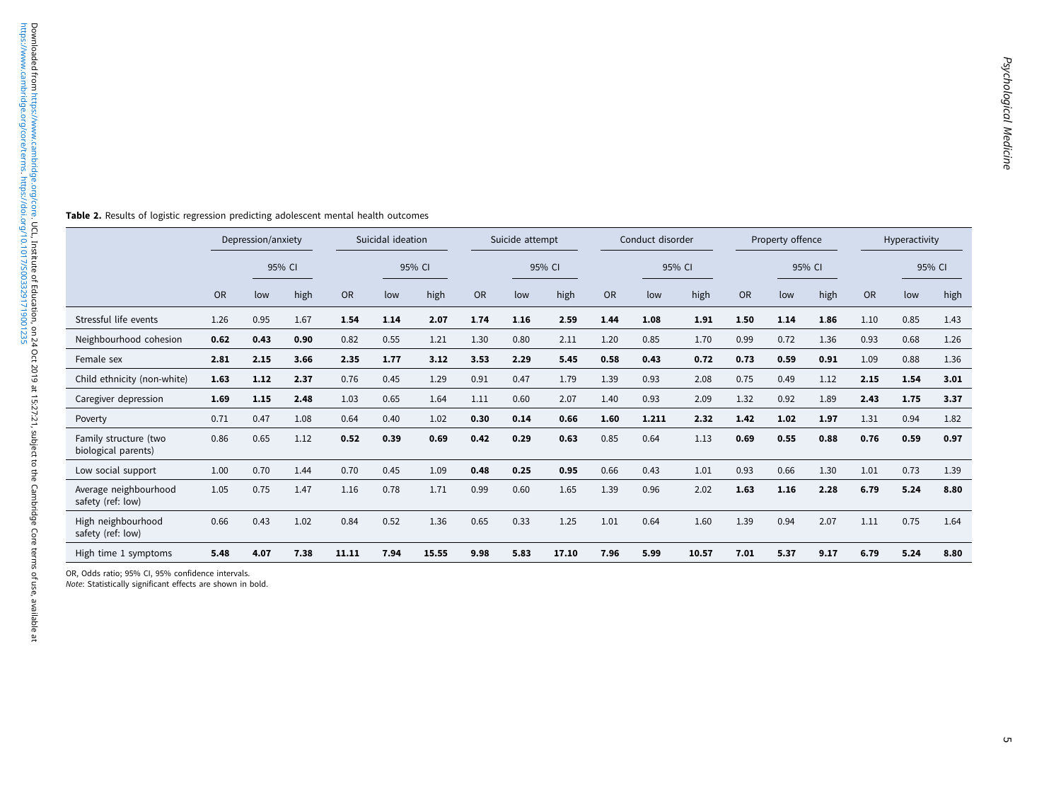|                                              | Depression/anxiety |      | Suicidal ideation |           | Suicide attempt |       | Conduct disorder |      | Property offence |           |       | Hyperactivity |           |      |      |           |        |      |
|----------------------------------------------|--------------------|------|-------------------|-----------|-----------------|-------|------------------|------|------------------|-----------|-------|---------------|-----------|------|------|-----------|--------|------|
|                                              | 95% CI             |      |                   |           | 95% CI          |       | 95% CI           |      |                  | 95% CI    |       |               | 95% CI    |      |      |           | 95% CI |      |
|                                              | <b>OR</b>          | low  | high              | <b>OR</b> | low             | high  | <b>OR</b>        | low  | high             | <b>OR</b> | low   | high          | <b>OR</b> | low  | high | <b>OR</b> | low    | high |
| Stressful life events                        | 1.26               | 0.95 | 1.67              | 1.54      | 1.14            | 2.07  | 1.74             | 1.16 | 2.59             | 1.44      | 1.08  | 1.91          | 1.50      | 1.14 | 1.86 | 1.10      | 0.85   | 1.43 |
| Neighbourhood cohesion                       | 0.62               | 0.43 | 0.90              | 0.82      | 0.55            | 1.21  | 1.30             | 0.80 | 2.11             | 1.20      | 0.85  | 1.70          | 0.99      | 0.72 | 1.36 | 0.93      | 0.68   | 1.26 |
| Female sex                                   | 2.81               | 2.15 | 3.66              | 2.35      | 1.77            | 3.12  | 3.53             | 2.29 | 5.45             | 0.58      | 0.43  | 0.72          | 0.73      | 0.59 | 0.91 | 1.09      | 0.88   | 1.36 |
| Child ethnicity (non-white)                  | 1.63               | 1.12 | 2.37              | 0.76      | 0.45            | 1.29  | 0.91             | 0.47 | 1.79             | 1.39      | 0.93  | 2.08          | 0.75      | 0.49 | 1.12 | 2.15      | 1.54   | 3.01 |
| Caregiver depression                         | 1.69               | 1.15 | 2.48              | 1.03      | 0.65            | 1.64  | 1.11             | 0.60 | 2.07             | 1.40      | 0.93  | 2.09          | 1.32      | 0.92 | 1.89 | 2.43      | 1.75   | 3.37 |
| Poverty                                      | 0.71               | 0.47 | 1.08              | 0.64      | 0.40            | 1.02  | 0.30             | 0.14 | 0.66             | 1.60      | 1.211 | 2.32          | 1.42      | 1.02 | 1.97 | 1.31      | 0.94   | 1.82 |
| Family structure (two<br>biological parents) | 0.86               | 0.65 | 1.12              | 0.52      | 0.39            | 0.69  | 0.42             | 0.29 | 0.63             | 0.85      | 0.64  | 1.13          | 0.69      | 0.55 | 0.88 | 0.76      | 0.59   | 0.97 |
| Low social support                           | 1.00               | 0.70 | 1.44              | 0.70      | 0.45            | 1.09  | 0.48             | 0.25 | 0.95             | 0.66      | 0.43  | 1.01          | 0.93      | 0.66 | 1.30 | 1.01      | 0.73   | 1.39 |
| Average neighbourhood<br>safety (ref: low)   | 1.05               | 0.75 | 1.47              | 1.16      | 0.78            | 1.71  | 0.99             | 0.60 | 1.65             | 1.39      | 0.96  | 2.02          | 1.63      | 1.16 | 2.28 | 6.79      | 5.24   | 8.80 |
| High neighbourhood<br>safety (ref: low)      | 0.66               | 0.43 | 1.02              | 0.84      | 0.52            | 1.36  | 0.65             | 0.33 | 1.25             | 1.01      | 0.64  | 1.60          | 1.39      | 0.94 | 2.07 | 1.11      | 0.75   | 1.64 |
| High time 1 symptoms                         | 5.48               | 4.07 | 7.38              | 11.11     | 7.94            | 15.55 | 9.98             | 5.83 | 17.10            | 7.96      | 5.99  | 10.57         | 7.01      | 5.37 | 9.17 | 6.79      | 5.24   | 8.80 |

<span id="page-4-0"></span>Table 2. Results of logistic regression predicting adolescent mental health outcomes

OR, Odds ratio; 95% CI, 95% confidence intervals. Note: Statistically significant effects are shown in bold.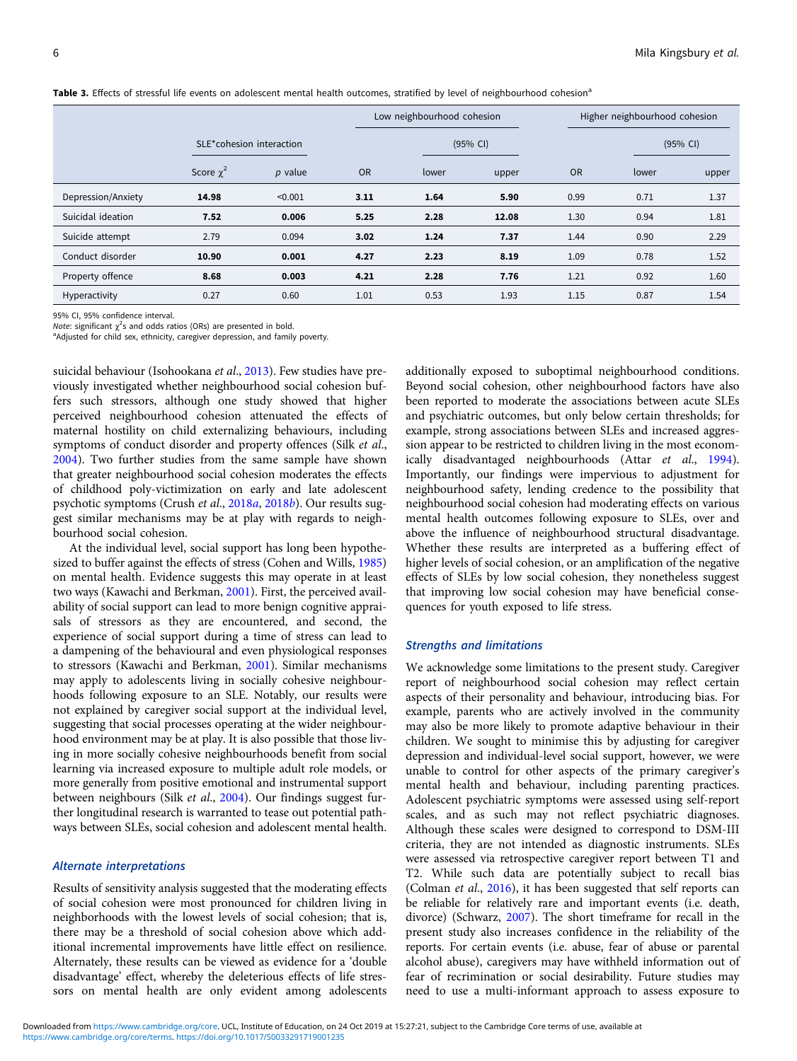<span id="page-5-0"></span>Table 3. Effects of stressful life events on adolescent mental health outcomes, stratified by level of neighbourhood cohesion<sup>a</sup>

|                    |                          |           |           | Low neighbourhood cohesion |       |           | Higher neighbourhood cohesion |          |  |  |
|--------------------|--------------------------|-----------|-----------|----------------------------|-------|-----------|-------------------------------|----------|--|--|
|                    | SLE*cohesion interaction |           |           | (95% CI)                   |       |           |                               | (95% CI) |  |  |
|                    | Score $\chi^2$           | $p$ value | <b>OR</b> | lower                      | upper | <b>OR</b> | lower                         | upper    |  |  |
| Depression/Anxiety | 14.98                    | < 0.001   | 3.11      | 1.64                       | 5.90  | 0.99      | 0.71                          | 1.37     |  |  |
| Suicidal ideation  | 7.52                     | 0.006     | 5.25      | 2.28                       | 12.08 | 1.30      | 0.94                          | 1.81     |  |  |
| Suicide attempt    | 2.79                     | 0.094     | 3.02      | 1.24                       | 7.37  | 1.44      | 0.90                          | 2.29     |  |  |
| Conduct disorder   | 10.90                    | 0.001     | 4.27      | 2.23                       | 8.19  | 1.09      | 0.78                          | 1.52     |  |  |
| Property offence   | 8.68                     | 0.003     | 4.21      | 2.28                       | 7.76  | 1.21      | 0.92                          | 1.60     |  |  |
| Hyperactivity      | 0.27                     | 0.60      | 1.01      | 0.53                       | 1.93  | 1.15      | 0.87                          | 1.54     |  |  |

95% CI, 95% confidence interval.

*Note:* significant  $\chi^2$ s and odds ratios (ORs) are presented in bold.<br><sup>a</sup> Adjusted for child sex, ethnicity caregiver denression, and family

<sup>a</sup>Adjusted for child sex, ethnicity, caregiver depression, and family poverty.

suicidal behaviour (Isohookana et al., [2013](#page-6-0)). Few studies have previously investigated whether neighbourhood social cohesion buffers such stressors, although one study showed that higher perceived neighbourhood cohesion attenuated the effects of maternal hostility on child externalizing behaviours, including symptoms of conduct disorder and property offences (Silk et al., [2004\)](#page-7-0). Two further studies from the same sample have shown that greater neighbourhood social cohesion moderates the effects of childhood poly-victimization on early and late adolescent psychotic symptoms (Crush et al., [2018](#page-6-0)a, [2018](#page-6-0)b). Our results suggest similar mechanisms may be at play with regards to neighbourhood social cohesion.

At the individual level, social support has long been hypothesized to buffer against the effects of stress (Cohen and Wills, [1985\)](#page-6-0) on mental health. Evidence suggests this may operate in at least two ways (Kawachi and Berkman, [2001](#page-6-0)). First, the perceived availability of social support can lead to more benign cognitive appraisals of stressors as they are encountered, and second, the experience of social support during a time of stress can lead to a dampening of the behavioural and even physiological responses to stressors (Kawachi and Berkman, [2001](#page-6-0)). Similar mechanisms may apply to adolescents living in socially cohesive neighbourhoods following exposure to an SLE. Notably, our results were not explained by caregiver social support at the individual level, suggesting that social processes operating at the wider neighbourhood environment may be at play. It is also possible that those living in more socially cohesive neighbourhoods benefit from social learning via increased exposure to multiple adult role models, or more generally from positive emotional and instrumental support between neighbours (Silk et al., [2004](#page-7-0)). Our findings suggest further longitudinal research is warranted to tease out potential pathways between SLEs, social cohesion and adolescent mental health.

## Alternate interpretations

Results of sensitivity analysis suggested that the moderating effects of social cohesion were most pronounced for children living in neighborhoods with the lowest levels of social cohesion; that is, there may be a threshold of social cohesion above which additional incremental improvements have little effect on resilience. Alternately, these results can be viewed as evidence for a 'double disadvantage' effect, whereby the deleterious effects of life stressors on mental health are only evident among adolescents

additionally exposed to suboptimal neighbourhood conditions. Beyond social cohesion, other neighbourhood factors have also been reported to moderate the associations between acute SLEs and psychiatric outcomes, but only below certain thresholds; for example, strong associations between SLEs and increased aggression appear to be restricted to children living in the most econom-ically disadvantaged neighbourhoods (Attar et al., [1994](#page-6-0)). Importantly, our findings were impervious to adjustment for neighbourhood safety, lending credence to the possibility that neighbourhood social cohesion had moderating effects on various mental health outcomes following exposure to SLEs, over and above the influence of neighbourhood structural disadvantage. Whether these results are interpreted as a buffering effect of higher levels of social cohesion, or an amplification of the negative effects of SLEs by low social cohesion, they nonetheless suggest that improving low social cohesion may have beneficial consequences for youth exposed to life stress.

## Strengths and limitations

We acknowledge some limitations to the present study. Caregiver report of neighbourhood social cohesion may reflect certain aspects of their personality and behaviour, introducing bias. For example, parents who are actively involved in the community may also be more likely to promote adaptive behaviour in their children. We sought to minimise this by adjusting for caregiver depression and individual-level social support, however, we were unable to control for other aspects of the primary caregiver's mental health and behaviour, including parenting practices. Adolescent psychiatric symptoms were assessed using self-report scales, and as such may not reflect psychiatric diagnoses. Although these scales were designed to correspond to DSM-III criteria, they are not intended as diagnostic instruments. SLEs were assessed via retrospective caregiver report between T1 and T2. While such data are potentially subject to recall bias (Colman et al., [2016](#page-6-0)), it has been suggested that self reports can be reliable for relatively rare and important events (i.e. death, divorce) (Schwarz, [2007\)](#page-7-0). The short timeframe for recall in the present study also increases confidence in the reliability of the reports. For certain events (i.e. abuse, fear of abuse or parental alcohol abuse), caregivers may have withheld information out of fear of recrimination or social desirability. Future studies may need to use a multi-informant approach to assess exposure to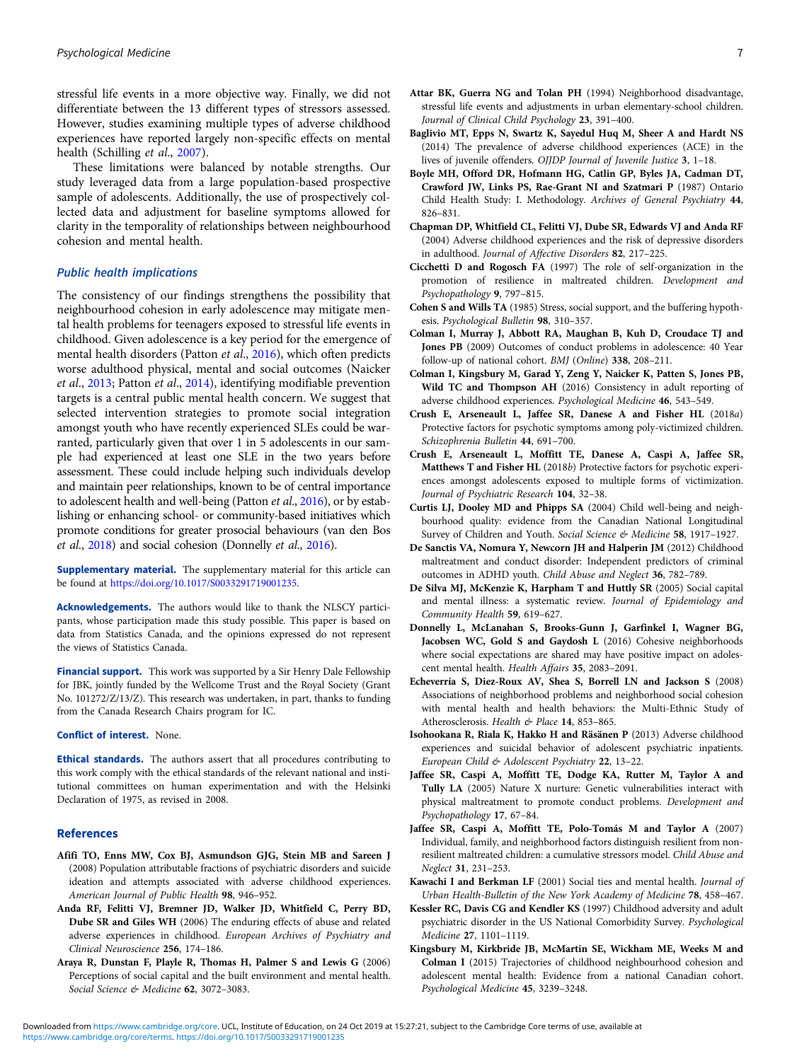<span id="page-6-0"></span>stressful life events in a more objective way. Finally, we did not differentiate between the 13 different types of stressors assessed. However, studies examining multiple types of adverse childhood experiences have reported largely non-specific effects on mental health (Schilling et al., [2007\)](#page-7-0).

These limitations were balanced by notable strengths. Our study leveraged data from a large population-based prospective sample of adolescents. Additionally, the use of prospectively collected data and adjustment for baseline symptoms allowed for clarity in the temporality of relationships between neighbourhood cohesion and mental health.

## Public health implications

The consistency of our findings strengthens the possibility that neighbourhood cohesion in early adolescence may mitigate mental health problems for teenagers exposed to stressful life events in childhood. Given adolescence is a key period for the emergence of mental health disorders (Patton et al., [2016\)](#page-7-0), which often predicts worse adulthood physical, mental and social outcomes (Naicker et al., [2013;](#page-7-0) Patton et al., [2014\)](#page-7-0), identifying modifiable prevention targets is a central public mental health concern. We suggest that selected intervention strategies to promote social integration amongst youth who have recently experienced SLEs could be warranted, particularly given that over 1 in 5 adolescents in our sample had experienced at least one SLE in the two years before assessment. These could include helping such individuals develop and maintain peer relationships, known to be of central importance to adolescent health and well-being (Patton et al., [2016\)](#page-7-0), or by establishing or enhancing school- or community-based initiatives which promote conditions for greater prosocial behaviours (van den Bos et al., [2018](#page-7-0)) and social cohesion (Donnelly et al., 2016).

**Supplementary material.** The supplementary material for this article can be found at [https://doi.org/10.1017/S0033291719001235.](https://doi.org/10.1017/S0033291719001235)

Acknowledgements. The authors would like to thank the NLSCY participants, whose participation made this study possible. This paper is based on data from Statistics Canada, and the opinions expressed do not represent the views of Statistics Canada.

Financial support. This work was supported by a Sir Henry Dale Fellowship for JBK, jointly funded by the Wellcome Trust and the Royal Society (Grant No. 101272/Z/13/Z). This research was undertaken, in part, thanks to funding from the Canada Research Chairs program for IC.

#### Conflict of interest. None.

Ethical standards. The authors assert that all procedures contributing to this work comply with the ethical standards of the relevant national and institutional committees on human experimentation and with the Helsinki Declaration of 1975, as revised in 2008.

#### References

- Afifi TO, Enns MW, Cox BJ, Asmundson GJG, Stein MB and Sareen J (2008) Population attributable fractions of psychiatric disorders and suicide ideation and attempts associated with adverse childhood experiences. American Journal of Public Health 98, 946–952.
- Anda RF, Felitti VJ, Bremner JD, Walker JD, Whitfield C, Perry BD, Dube SR and Giles WH (2006) The enduring effects of abuse and related adverse experiences in childhood. European Archives of Psychiatry and Clinical Neuroscience 256, 174–186.
- Araya R, Dunstan F, Playle R, Thomas H, Palmer S and Lewis G (2006) Perceptions of social capital and the built environment and mental health. Social Science & Medicine 62, 3072–3083.
- Attar BK, Guerra NG and Tolan PH (1994) Neighborhood disadvantage, stressful life events and adjustments in urban elementary-school children. Journal of Clinical Child Psychology 23, 391–400.
- Baglivio MT, Epps N, Swartz K, Sayedul Huq M, Sheer A and Hardt NS (2014) The prevalence of adverse childhood experiences (ACE) in the lives of juvenile offenders. OJJDP Journal of Juvenile Justice 3, 1–18.
- Boyle MH, Offord DR, Hofmann HG, Catlin GP, Byles JA, Cadman DT, Crawford JW, Links PS, Rae-Grant NI and Szatmari P (1987) Ontario Child Health Study: I. Methodology. Archives of General Psychiatry 44, 826–831.
- Chapman DP, Whitfield CL, Felitti VJ, Dube SR, Edwards VJ and Anda RF (2004) Adverse childhood experiences and the risk of depressive disorders in adulthood. Journal of Affective Disorders 82, 217–225.
- Cicchetti D and Rogosch FA (1997) The role of self-organization in the promotion of resilience in maltreated children. Development and Psychopathology 9, 797–815.
- Cohen S and Wills TA (1985) Stress, social support, and the buffering hypothesis. Psychological Bulletin 98, 310–357.
- Colman I, Murray J, Abbott RA, Maughan B, Kuh D, Croudace TJ and Jones PB (2009) Outcomes of conduct problems in adolescence: 40 Year follow-up of national cohort. BMJ (Online) 338, 208–211.
- Colman I, Kingsbury M, Garad Y, Zeng Y, Naicker K, Patten S, Jones PB, Wild TC and Thompson AH (2016) Consistency in adult reporting of adverse childhood experiences. Psychological Medicine 46, 543–549.
- Crush E, Arseneault L, Jaffee SR, Danese A and Fisher HL (2018a) Protective factors for psychotic symptoms among poly-victimized children. Schizophrenia Bulletin 44, 691–700.
- Crush E, Arseneault L, Moffitt TE, Danese A, Caspi A, Jaffee SR, Matthews T and Fisher HL (2018b) Protective factors for psychotic experiences amongst adolescents exposed to multiple forms of victimization. Journal of Psychiatric Research 104, 32–38.
- Curtis LJ, Dooley MD and Phipps SA (2004) Child well-being and neighbourhood quality: evidence from the Canadian National Longitudinal Survey of Children and Youth. Social Science & Medicine 58, 1917-1927.
- De Sanctis VA, Nomura Y, Newcorn JH and Halperin JM (2012) Childhood maltreatment and conduct disorder: Independent predictors of criminal outcomes in ADHD youth. Child Abuse and Neglect 36, 782–789.
- De Silva MJ, McKenzie K, Harpham T and Huttly SR (2005) Social capital and mental illness: a systematic review. Journal of Epidemiology and Community Health 59, 619–627.
- Donnelly L, McLanahan S, Brooks-Gunn J, Garfinkel I, Wagner BG, Jacobsen WC, Gold S and Gaydosh L (2016) Cohesive neighborhoods where social expectations are shared may have positive impact on adolescent mental health. Health Affairs 35, 2083–2091.
- Echeverría S, Diez-Roux AV, Shea S, Borrell LN and Jackson S (2008) Associations of neighborhood problems and neighborhood social cohesion with mental health and health behaviors: the Multi-Ethnic Study of Atherosclerosis. Health & Place 14, 853-865.
- Isohookana R, Riala K, Hakko H and Räsänen P (2013) Adverse childhood experiences and suicidal behavior of adolescent psychiatric inpatients. European Child & Adolescent Psychiatry 22, 13–22.
- Jaffee SR, Caspi A, Moffitt TE, Dodge KA, Rutter M, Taylor A and Tully LA (2005) Nature X nurture: Genetic vulnerabilities interact with physical maltreatment to promote conduct problems. Development and Psychopathology 17, 67–84.
- Jaffee SR, Caspi A, Moffitt TE, Polo-Tomás M and Taylor A (2007) Individual, family, and neighborhood factors distinguish resilient from nonresilient maltreated children: a cumulative stressors model. Child Abuse and Neglect 31, 231–253.
- Kawachi I and Berkman LF (2001) Social ties and mental health. Journal of Urban Health-Bulletin of the New York Academy of Medicine 78, 458–467.
- Kessler RC, Davis CG and Kendler KS (1997) Childhood adversity and adult psychiatric disorder in the US National Comorbidity Survey. Psychological Medicine 27, 1101–1119.
- Kingsbury M, Kirkbride JB, McMartin SE, Wickham ME, Weeks M and Colman I (2015) Trajectories of childhood neighbourhood cohesion and adolescent mental health: Evidence from a national Canadian cohort. Psychological Medicine 45, 3239–3248.